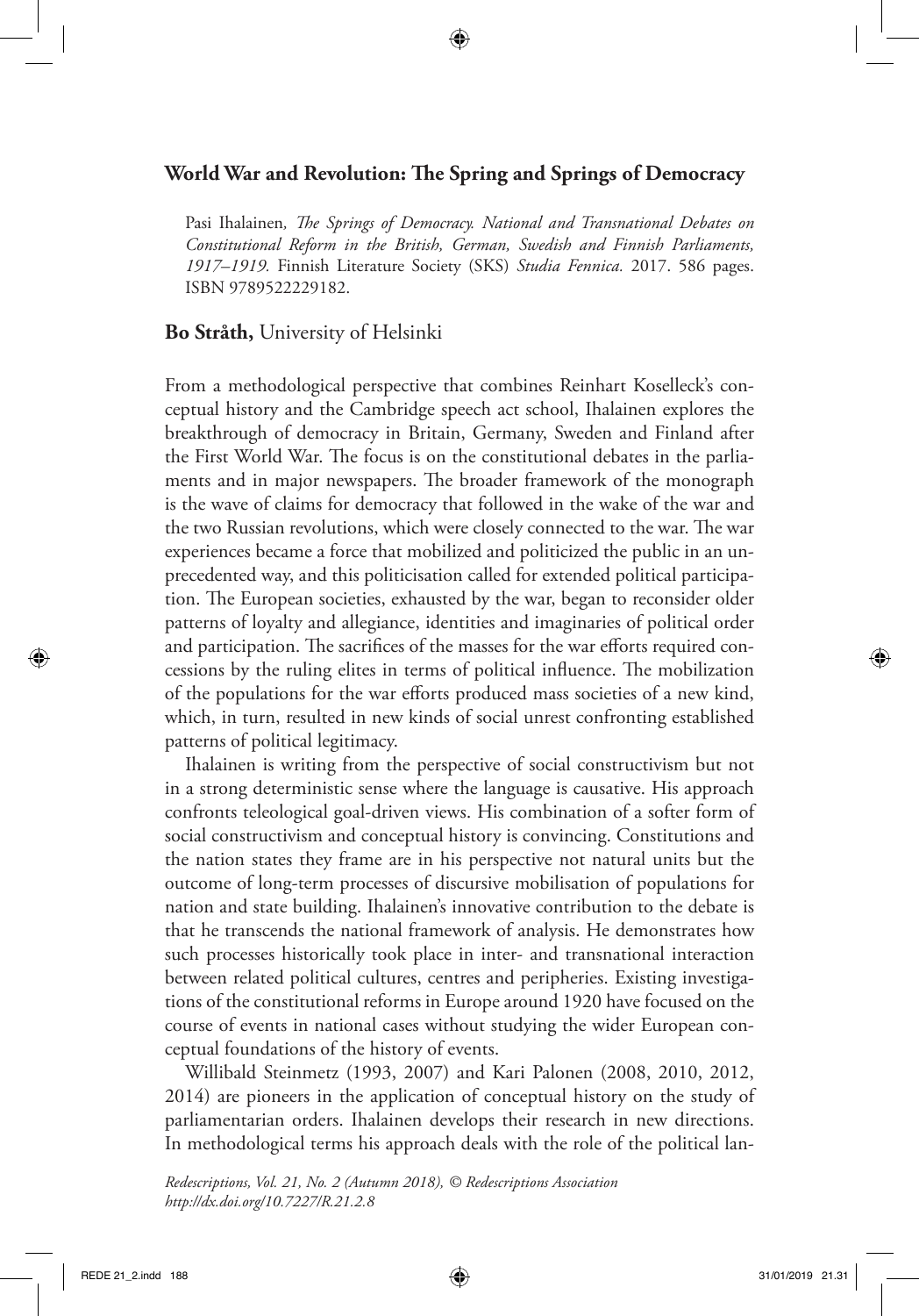## **World War and Revolution: The Spring and Springs of Democracy**

Pasi Ihalainen*, The Springs of Democracy. National and Transnational Debates on Constitutional Reform in the British, German, Swedish and Finnish Parliaments, 1917–1919.* Finnish Literature Society (SKS) *Studia Fennica.* 2017. 586 pages. ISBN 9789522229182.

## **Bo Stråth,** University of Helsinki

From a methodological perspective that combines Reinhart Koselleck's conceptual history and the Cambridge speech act school, Ihalainen explores the breakthrough of democracy in Britain, Germany, Sweden and Finland after the First World War. The focus is on the constitutional debates in the parliaments and in major newspapers. The broader framework of the monograph is the wave of claims for democracy that followed in the wake of the war and the two Russian revolutions, which were closely connected to the war. The war experiences became a force that mobilized and politicized the public in an unprecedented way, and this politicisation called for extended political participation. The European societies, exhausted by the war, began to reconsider older patterns of loyalty and allegiance, identities and imaginaries of political order and participation. The sacrifices of the masses for the war efforts required concessions by the ruling elites in terms of political influence. The mobilization of the populations for the war efforts produced mass societies of a new kind, which, in turn, resulted in new kinds of social unrest confronting established patterns of political legitimacy.

Ihalainen is writing from the perspective of social constructivism but not in a strong deterministic sense where the language is causative. His approach confronts teleological goal-driven views. His combination of a softer form of social constructivism and conceptual history is convincing. Constitutions and the nation states they frame are in his perspective not natural units but the outcome of long-term processes of discursive mobilisation of populations for nation and state building. Ihalainen's innovative contribution to the debate is that he transcends the national framework of analysis. He demonstrates how such processes historically took place in inter- and transnational interaction between related political cultures, centres and peripheries. Existing investigations of the constitutional reforms in Europe around 1920 have focused on the course of events in national cases without studying the wider European conceptual foundations of the history of events.

Willibald Steinmetz (1993, 2007) and Kari Palonen (2008, 2010, 2012, 2014) are pioneers in the application of conceptual history on the study of parliamentarian orders. Ihalainen develops their research in new directions. In methodological terms his approach deals with the role of the political lan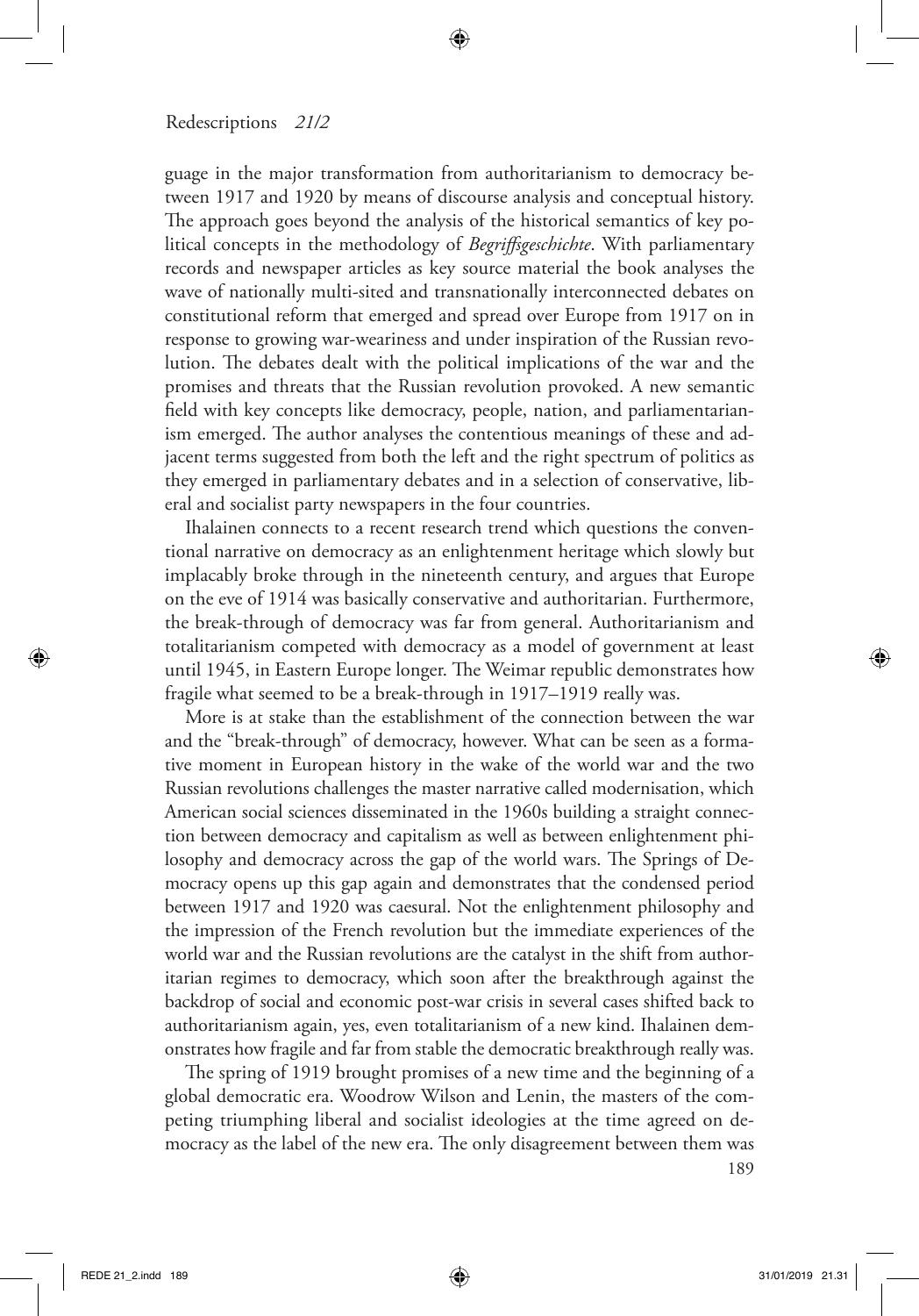guage in the major transformation from authoritarianism to democracy between 1917 and 1920 by means of discourse analysis and conceptual history. The approach goes beyond the analysis of the historical semantics of key political concepts in the methodology of *Begriffsgeschichte*. With parliamentary records and newspaper articles as key source material the book analyses the wave of nationally multi-sited and transnationally interconnected debates on constitutional reform that emerged and spread over Europe from 1917 on in response to growing war-weariness and under inspiration of the Russian revolution. The debates dealt with the political implications of the war and the promises and threats that the Russian revolution provoked. A new semantic field with key concepts like democracy, people, nation, and parliamentarianism emerged. The author analyses the contentious meanings of these and adjacent terms suggested from both the left and the right spectrum of politics as they emerged in parliamentary debates and in a selection of conservative, liberal and socialist party newspapers in the four countries.

Ihalainen connects to a recent research trend which questions the conventional narrative on democracy as an enlightenment heritage which slowly but implacably broke through in the nineteenth century, and argues that Europe on the eve of 1914 was basically conservative and authoritarian. Furthermore, the break-through of democracy was far from general. Authoritarianism and totalitarianism competed with democracy as a model of government at least until 1945, in Eastern Europe longer. The Weimar republic demonstrates how fragile what seemed to be a break-through in 1917–1919 really was.

More is at stake than the establishment of the connection between the war and the "break-through" of democracy, however. What can be seen as a formative moment in European history in the wake of the world war and the two Russian revolutions challenges the master narrative called modernisation, which American social sciences disseminated in the 1960s building a straight connection between democracy and capitalism as well as between enlightenment philosophy and democracy across the gap of the world wars. The Springs of Democracy opens up this gap again and demonstrates that the condensed period between 1917 and 1920 was caesural. Not the enlightenment philosophy and the impression of the French revolution but the immediate experiences of the world war and the Russian revolutions are the catalyst in the shift from authoritarian regimes to democracy, which soon after the breakthrough against the backdrop of social and economic post-war crisis in several cases shifted back to authoritarianism again, yes, even totalitarianism of a new kind. Ihalainen demonstrates how fragile and far from stable the democratic breakthrough really was.

The spring of 1919 brought promises of a new time and the beginning of a global democratic era. Woodrow Wilson and Lenin, the masters of the competing triumphing liberal and socialist ideologies at the time agreed on democracy as the label of the new era. The only disagreement between them was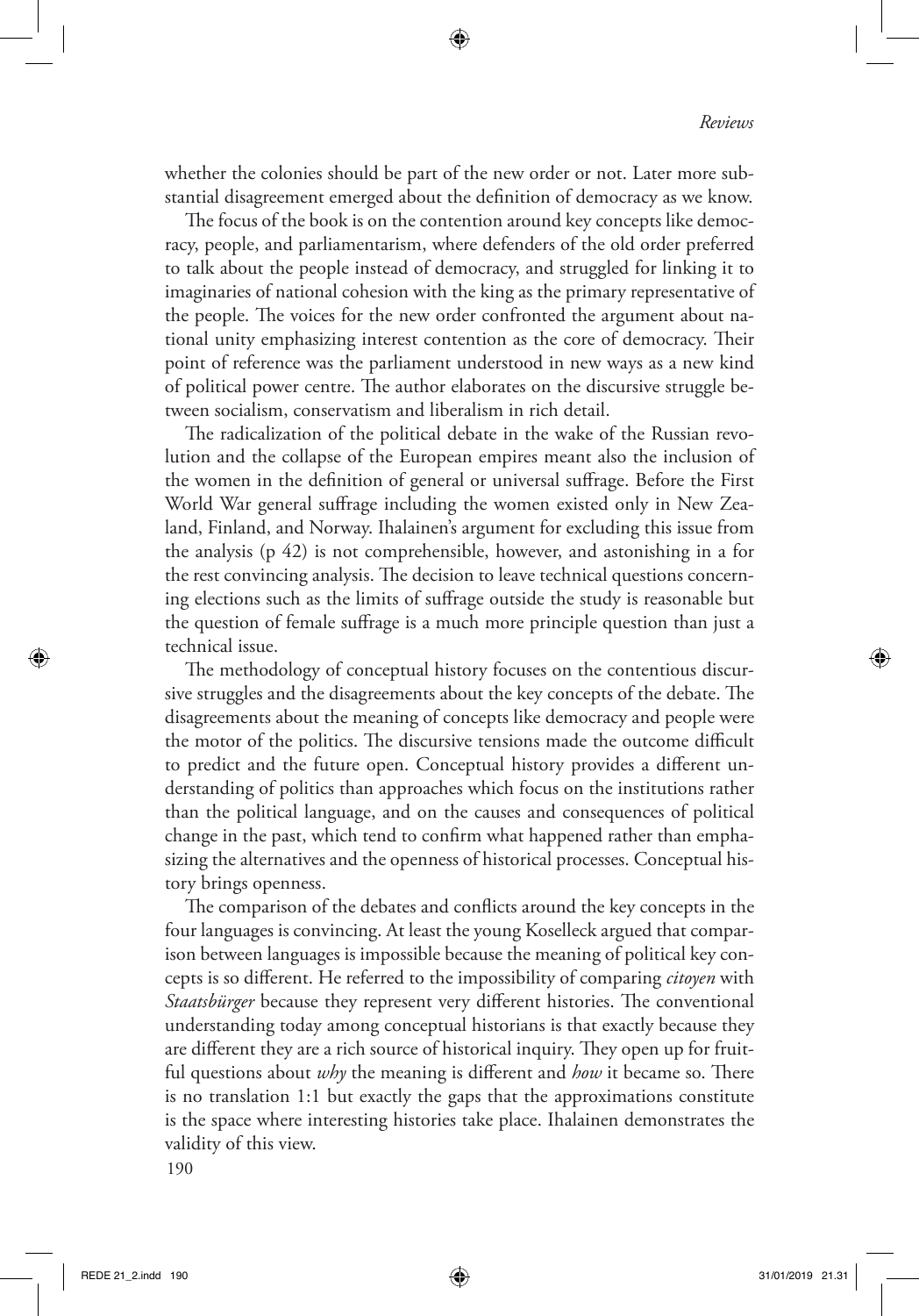whether the colonies should be part of the new order or not. Later more substantial disagreement emerged about the definition of democracy as we know.

The focus of the book is on the contention around key concepts like democracy, people, and parliamentarism, where defenders of the old order preferred to talk about the people instead of democracy, and struggled for linking it to imaginaries of national cohesion with the king as the primary representative of the people. The voices for the new order confronted the argument about national unity emphasizing interest contention as the core of democracy. Their point of reference was the parliament understood in new ways as a new kind of political power centre. The author elaborates on the discursive struggle between socialism, conservatism and liberalism in rich detail.

The radicalization of the political debate in the wake of the Russian revolution and the collapse of the European empires meant also the inclusion of the women in the definition of general or universal suffrage. Before the First World War general suffrage including the women existed only in New Zealand, Finland, and Norway. Ihalainen's argument for excluding this issue from the analysis (p 42) is not comprehensible, however, and astonishing in a for the rest convincing analysis. The decision to leave technical questions concerning elections such as the limits of suffrage outside the study is reasonable but the question of female suffrage is a much more principle question than just a technical issue.

The methodology of conceptual history focuses on the contentious discursive struggles and the disagreements about the key concepts of the debate. The disagreements about the meaning of concepts like democracy and people were the motor of the politics. The discursive tensions made the outcome difficult to predict and the future open. Conceptual history provides a different understanding of politics than approaches which focus on the institutions rather than the political language, and on the causes and consequences of political change in the past, which tend to confirm what happened rather than emphasizing the alternatives and the openness of historical processes. Conceptual history brings openness.

The comparison of the debates and conflicts around the key concepts in the four languages is convincing. At least the young Koselleck argued that comparison between languages is impossible because the meaning of political key concepts is so different. He referred to the impossibility of comparing *citoyen* with *Staatsbürger* because they represent very different histories. The conventional understanding today among conceptual historians is that exactly because they are different they are a rich source of historical inquiry. They open up for fruitful questions about *why* the meaning is different and *how* it became so. There is no translation 1:1 but exactly the gaps that the approximations constitute is the space where interesting histories take place. Ihalainen demonstrates the validity of this view.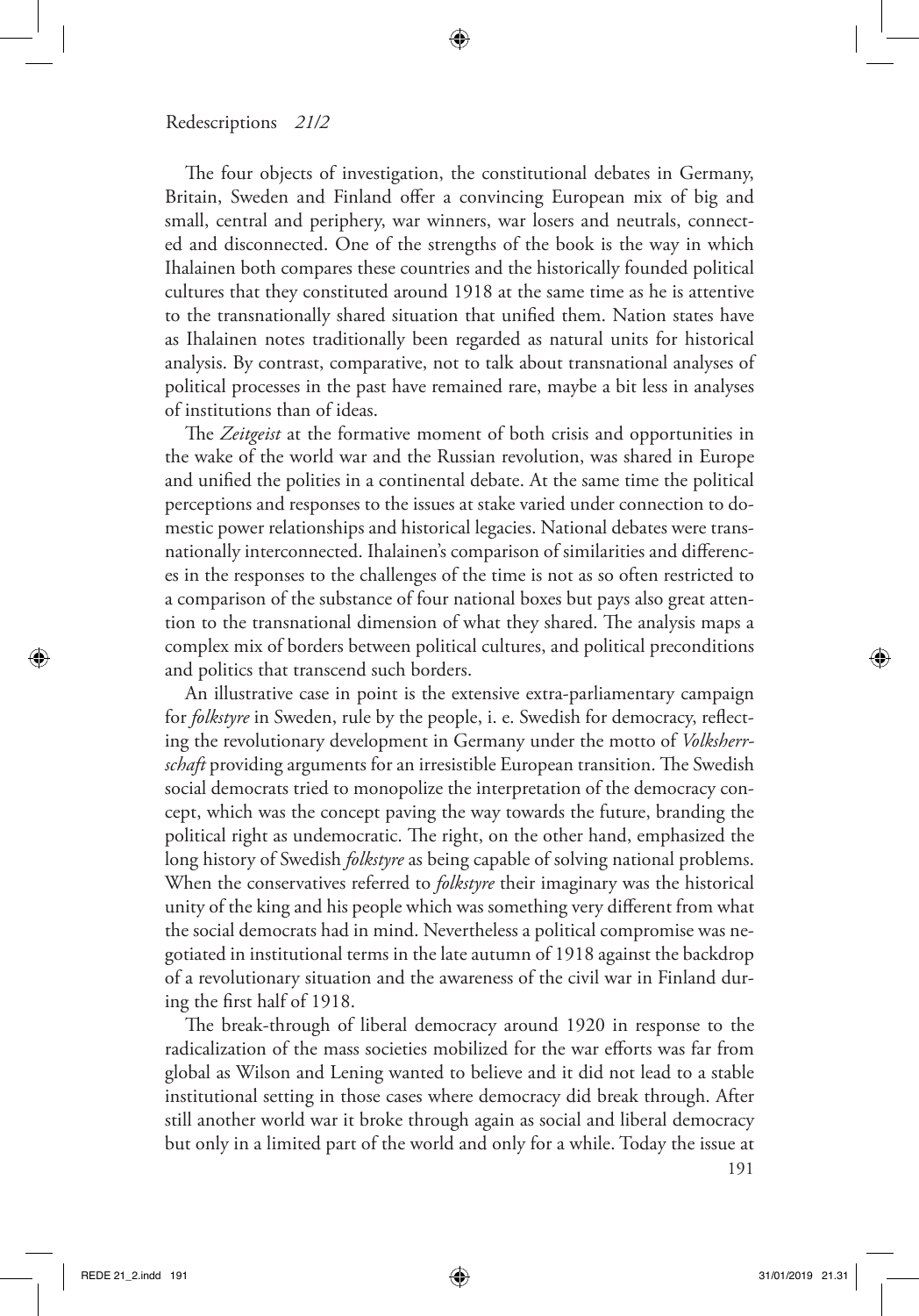The four objects of investigation, the constitutional debates in Germany, Britain, Sweden and Finland offer a convincing European mix of big and small, central and periphery, war winners, war losers and neutrals, connected and disconnected. One of the strengths of the book is the way in which Ihalainen both compares these countries and the historically founded political cultures that they constituted around 1918 at the same time as he is attentive to the transnationally shared situation that unified them. Nation states have as Ihalainen notes traditionally been regarded as natural units for historical analysis. By contrast, comparative, not to talk about transnational analyses of political processes in the past have remained rare, maybe a bit less in analyses of institutions than of ideas.

The *Zeitgeist* at the formative moment of both crisis and opportunities in the wake of the world war and the Russian revolution, was shared in Europe and unified the polities in a continental debate. At the same time the political perceptions and responses to the issues at stake varied under connection to domestic power relationships and historical legacies. National debates were transnationally interconnected. Ihalainen's comparison of similarities and differences in the responses to the challenges of the time is not as so often restricted to a comparison of the substance of four national boxes but pays also great attention to the transnational dimension of what they shared. The analysis maps a complex mix of borders between political cultures, and political preconditions and politics that transcend such borders.

An illustrative case in point is the extensive extra-parliamentary campaign for *folkstyre* in Sweden, rule by the people, i. e. Swedish for democracy, reflecting the revolutionary development in Germany under the motto of *Volksherrschaft* providing arguments for an irresistible European transition. The Swedish social democrats tried to monopolize the interpretation of the democracy concept, which was the concept paving the way towards the future, branding the political right as undemocratic. The right, on the other hand, emphasized the long history of Swedish *folkstyre* as being capable of solving national problems. When the conservatives referred to *folkstyre* their imaginary was the historical unity of the king and his people which was something very different from what the social democrats had in mind. Nevertheless a political compromise was negotiated in institutional terms in the late autumn of 1918 against the backdrop of a revolutionary situation and the awareness of the civil war in Finland during the first half of 1918.

The break-through of liberal democracy around 1920 in response to the radicalization of the mass societies mobilized for the war efforts was far from global as Wilson and Lening wanted to believe and it did not lead to a stable institutional setting in those cases where democracy did break through. After still another world war it broke through again as social and liberal democracy but only in a limited part of the world and only for a while. Today the issue at